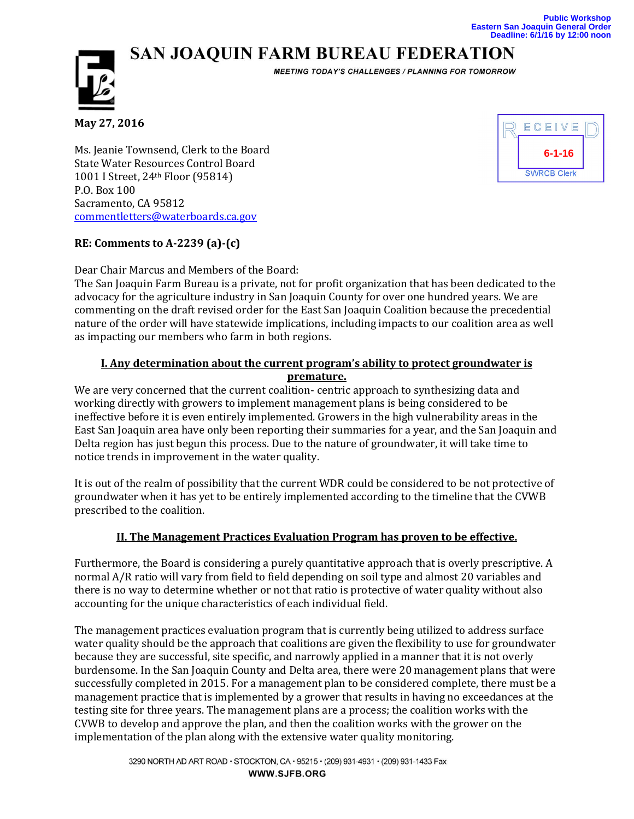# **SAN JOAQUIN FARM BUREAU FEDERATION**



**MEETING TODAY'S CHALLENGES / PLANNING FOR TOMORROW** 

**May 27, 2016**

Ms. Jeanie Townsend, Clerk to the Board State Water Resources Control Board 1001 I Street, 24th Floor (95814) P.O. Box 100 Sacramento, CA 95812 [commentletters@waterboards.ca.gov](mailto:commentletters@waterboards.ca.gov)

## **RE: Comments to A-2239 (a)-(c)**

Dear Chair Marcus and Members of the Board:

The San Joaquin Farm Bureau is a private, not for profit organization that has been dedicated to the advocacy for the agriculture industry in San Joaquin County for over one hundred years. We are commenting on the draft revised order for the East San Joaquin Coalition because the precedential nature of the order will have statewide implications, including impacts to our coalition area as well as impacting our members who farm in both regions.

### **I. Any determination about the current program's ability to protect groundwater is premature.**

We are very concerned that the current coalition- centric approach to synthesizing data and working directly with growers to implement management plans is being considered to be ineffective before it is even entirely implemented. Growers in the high vulnerability areas in the East San Joaquin area have only been reporting their summaries for a year, and the San Joaquin and Delta region has just begun this process. Due to the nature of groundwater, it will take time to notice trends in improvement in the water quality.

It is out of the realm of possibility that the current WDR could be considered to be not protective of groundwater when it has yet to be entirely implemented according to the timeline that the CVWB prescribed to the coalition.

## **II. The Management Practices Evaluation Program has proven to be effective.**

Furthermore, the Board is considering a purely quantitative approach that is overly prescriptive. A normal A/R ratio will vary from field to field depending on soil type and almost 20 variables and there is no way to determine whether or not that ratio is protective of water quality without also accounting for the unique characteristics of each individual field.

The management practices evaluation program that is currently being utilized to address surface water quality should be the approach that coalitions are given the flexibility to use for groundwater because they are successful, site specific, and narrowly applied in a manner that it is not overly burdensome. In the San Joaquin County and Delta area, there were 20 management plans that were successfully completed in 2015. For a management plan to be considered complete, there must be a management practice that is implemented by a grower that results in having no exceedances at the testing site for three years. The management plans are a process; the coalition works with the CVWB to develop and approve the plan, and then the coalition works with the grower on the implementation of the plan along with the extensive water quality monitoring.

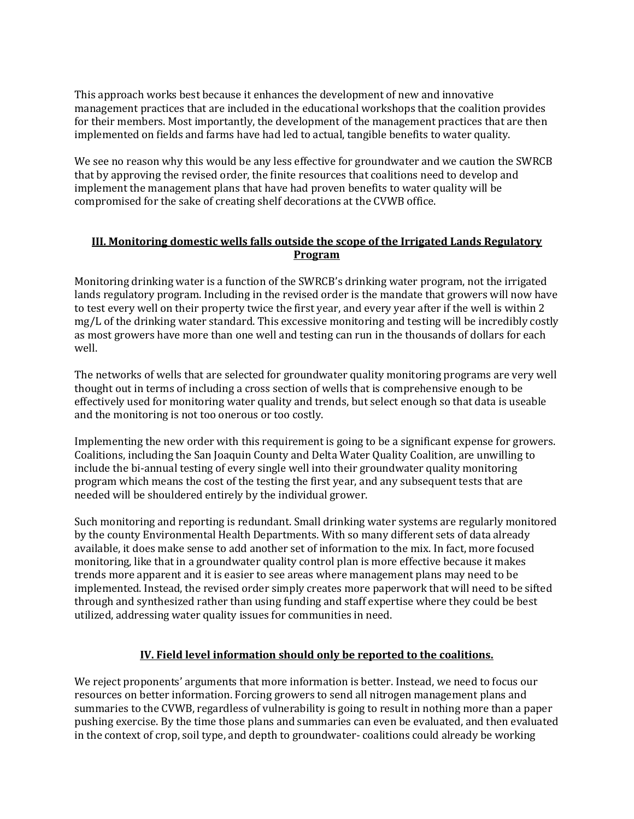This approach works best because it enhances the development of new and innovative management practices that are included in the educational workshops that the coalition provides for their members. Most importantly, the development of the management practices that are then implemented on fields and farms have had led to actual, tangible benefits to water quality.

We see no reason why this would be any less effective for groundwater and we caution the SWRCB that by approving the revised order, the finite resources that coalitions need to develop and implement the management plans that have had proven benefits to water quality will be compromised for the sake of creating shelf decorations at the CVWB office.

## **III. Monitoring domestic wells falls outside the scope of the Irrigated Lands Regulatory Program**

Monitoring drinking water is a function of the SWRCB's drinking water program, not the irrigated lands regulatory program. Including in the revised order is the mandate that growers will now have to test every well on their property twice the first year, and every year after if the well is within 2 mg/L of the drinking water standard. This excessive monitoring and testing will be incredibly costly as most growers have more than one well and testing can run in the thousands of dollars for each well.

The networks of wells that are selected for groundwater quality monitoring programs are very well thought out in terms of including a cross section of wells that is comprehensive enough to be effectively used for monitoring water quality and trends, but select enough so that data is useable and the monitoring is not too onerous or too costly.

Implementing the new order with this requirement is going to be a significant expense for growers. Coalitions, including the San Joaquin County and Delta Water Quality Coalition, are unwilling to include the bi-annual testing of every single well into their groundwater quality monitoring program which means the cost of the testing the first year, and any subsequent tests that are needed will be shouldered entirely by the individual grower.

Such monitoring and reporting is redundant. Small drinking water systems are regularly monitored by the county Environmental Health Departments. With so many different sets of data already available, it does make sense to add another set of information to the mix. In fact, more focused monitoring, like that in a groundwater quality control plan is more effective because it makes trends more apparent and it is easier to see areas where management plans may need to be implemented. Instead, the revised order simply creates more paperwork that will need to be sifted through and synthesized rather than using funding and staff expertise where they could be best utilized, addressing water quality issues for communities in need.

#### **IV. Field level information should only be reported to the coalitions.**

We reject proponents' arguments that more information is better. Instead, we need to focus our resources on better information. Forcing growers to send all nitrogen management plans and summaries to the CVWB, regardless of vulnerability is going to result in nothing more than a paper pushing exercise. By the time those plans and summaries can even be evaluated, and then evaluated in the context of crop, soil type, and depth to groundwater- coalitions could already be working